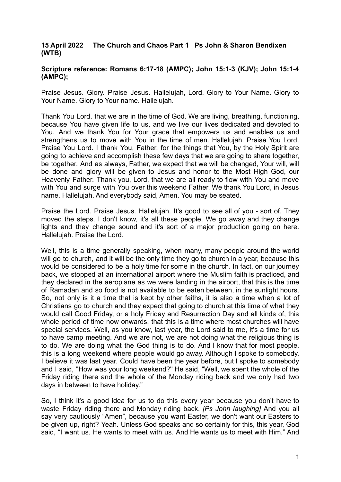## **15 April 2022 The Church and Chaos Part 1 Ps John & Sharon Bendixen (WTB)**

## **Scripture reference: Romans 6:17-18 (AMPC); John 15:1-3 (KJV); John 15:1-4 (AMPC);**

Praise Jesus. Glory. Praise Jesus. Hallelujah, Lord. Glory to Your Name. Glory to Your Name. Glory to Your name. Hallelujah.

Thank You Lord, that we are in the time of God. We are living, breathing, functioning, because You have given life to us, and we live our lives dedicated and devoted to You. And we thank You for Your grace that empowers us and enables us and strengthens us to move with You in the time of men. Hallelujah. Praise You Lord. Praise You Lord. I thank You, Father, for the things that You, by the Holy Spirit are going to achieve and accomplish these few days that we are going to share together, be together. And as always, Father, we expect that we will be changed, Your will, will be done and glory will be given to Jesus and honor to the Most High God, our Heavenly Father. Thank you, Lord, that we are all ready to flow with You and move with You and surge with You over this weekend Father. We thank You Lord, in Jesus name. Hallelujah. And everybody said, Amen. You may be seated.

Praise the Lord. Praise Jesus. Hallelujah. It's good to see all of you - sort of. They moved the steps. I don't know, it's all these people. We go away and they change lights and they change sound and it's sort of a major production going on here. Hallelujah. Praise the Lord.

Well, this is a time generally speaking, when many, many people around the world will go to church, and it will be the only time they go to church in a year, because this would be considered to be a holy time for some in the church. In fact, on our journey back, we stopped at an international airport where the Muslim faith is practiced, and they declared in the aeroplane as we were landing in the airport, that this is the time of Ramadan and so food is not available to be eaten between, in the sunlight hours. So, not only is it a time that is kept by other faiths, it is also a time when a lot of Christians go to church and they expect that going to church at this time of what they would call Good Friday, or a holy Friday and Resurrection Day and all kinds of, this whole period of time now onwards, that this is a time where most churches will have special services. Well, as you know, last year, the Lord said to me, it's a time for us to have camp meeting. And we are not, we are not doing what the religious thing is to do. We are doing what the God thing is to do. And I know that for most people, this is a long weekend where people would go away. Although I spoke to somebody, I believe it was last year. Could have been the year before, but I spoke to somebody and I said, "How was your long weekend?'' He said, "Well, we spent the whole of the Friday riding there and the whole of the Monday riding back and we only had two days in between to have holiday."

So, I think it's a good idea for us to do this every year because you don't have to waste Friday riding there and Monday riding back. *[Ps John laughing]* And you all say very cautiously "Amen", because you want Easter, we don't want our Easters to be given up, right? Yeah. Unless God speaks and so certainly for this, this year, God said, "I want us. He wants to meet with us. And He wants us to meet with Him." And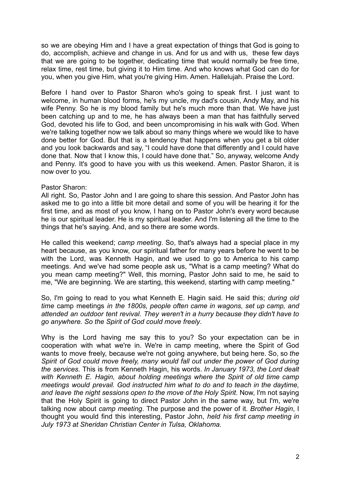so we are obeying Him and I have a great expectation of things that God is going to do, accomplish, achieve and change in us. And for us and with us, these few days that we are going to be together, dedicating time that would normally be free time, relax time, rest time, but giving it to Him time. And who knows what God can do for you, when you give Him, what you're giving Him. Amen. Hallelujah. Praise the Lord.

Before I hand over to Pastor Sharon who's going to speak first. I just want to welcome, in human blood forms, he's my uncle, my dad's cousin, Andy May, and his wife Penny. So he is my blood family but he's much more than that. We have just been catching up and to me, he has always been a man that has faithfully served God, devoted his life to God, and been uncompromising in his walk with God. When we're talking together now we talk about so many things where we would like to have done better for God. But that is a tendency that happens when you get a bit older and you look backwards and say, "I could have done that differently and I could have done that. Now that I know this, I could have done that." So, anyway, welcome Andy and Penny. It's good to have you with us this weekend. Amen. Pastor Sharon, it is now over to you.

## Pastor Sharon:

All right. So, Pastor John and I are going to share this session. And Pastor John has asked me to go into a little bit more detail and some of you will be hearing it for the first time, and as most of you know, I hang on to Pastor John's every word because he is our spiritual leader. He is my spiritual leader. And I'm listening all the time to the things that he's saying. And, and so there are some words.

He called this weekend; *camp meeting*. So, that's always had a special place in my heart because, as you know, our spiritual father for many years before he went to be with the Lord, was Kenneth Hagin, and we used to go to America to his camp meetings. And we've had some people ask us, "What is a camp meeting? What do you mean camp meeting?" Well, this morning, Pastor John said to me, he said to me, "We are beginning. We are starting, this weekend, starting with camp meeting."

So, I'm going to read to you what Kenneth E. Hagin said. He said this; *during old time* camp meetings *in the 1800s, people often came in wagons, set up camp, and attended an outdoor tent revival. They weren't in a hurry because they didn't have to go anywhere. So the Spirit of God could move freely*.

Why is the Lord having me say this to you? So your expectation can be in cooperation with what we're in. We're in camp meeting, where the Spirit of God wants to move freely, because we're not going anywhere, but being here. So, so *the Spirit of God could move freely, many would fall out under the power of God during the services*. This is from Kenneth Hagin, his words. *In January 1973, the Lord dealt with Kenneth E. Hagin, about holding meetings where the Spirit of old time camp meetings would prevail. God instructed him what to do and to teach in the daytime, and leave the night sessions open to the move of the Holy Spirit*. Now, I'm not saying that the Holy Spirit is going to direct Pastor John in the same way, but I'm, we're talking now about *camp meeting*. The purpose and the power of it. *Brother Hagin*, I thought you would find this interesting, Pastor John, *held his first camp meeting in July 1973 at Sheridan Christian Center in Tulsa, Oklahoma.*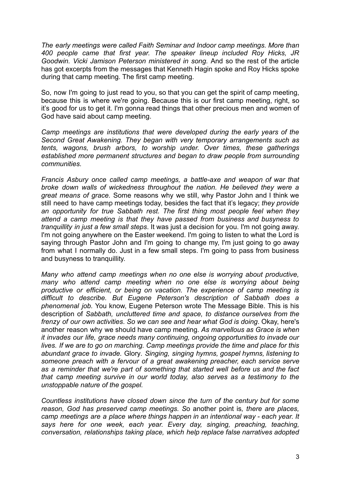*The early meetings were called Faith Seminar and Indoor camp meetings. More than 400 people came that first year. The speaker lineup included Roy Hicks, JR Goodwin. Vicki Jamison Peterson ministered in song.* And so the rest of the article has got excerpts from the messages that Kenneth Hagin spoke and Roy Hicks spoke during that camp meeting. The first camp meeting.

So, now I'm going to just read to you, so that you can get the spirit of camp meeting, because this is where we're going. Because this is our first camp meeting, right, so it's good for us to get it. I'm gonna read things that other precious men and women of God have said about camp meeting.

*Camp meetings are institutions that were developed during the early years of the Second Great Awakening. They began with very temporary arrangements such as tents, wagons, brush arbors, to worship under. Over times, these gatherings established more permanent structures and began to draw people from surrounding communities.*

*Francis Asbury once called camp meetings, a battle-axe and weapon of war that broke down walls of wickedness throughout the nation. He believed they were a great means of grace.* Some reasons why we still, why Pastor John and I think we still need to have camp meetings today, besides the fact that it's legacy; *they provide an opportunity for true Sabbath rest. The first thing most people feel when they attend a camp meeting is that they have passed from business and busyness to tranquillity in just a few small steps*. It was just a decision for you. I'm not going away. I'm not going anywhere on the Easter weekend. I'm going to listen to what the Lord is saying through Pastor John and I'm going to change my, I'm just going to go away from what I normally do. Just in a few small steps. I'm going to pass from business and busyness to tranquillity.

*Many who attend camp meetings when no one else is worrying about productive, many who attend camp meeting when no one else is worrying about being productive or efficient, or being on vacation. The experience of camp meeting is difficult to describe. But Eugene Peterson's description of Sabbath does a phenomenal job.* You know, Eugene Peterson wrote The Message Bible. This is his description of *Sabbath, uncluttered time and space, to distance ourselves from the frenzy of our own activities*. *So we can see and hear what God is doing*. Okay, here's another reason why we should have camp meeting. *As marvellous as Grace is when it invades our life, grace needs many continuing, ongoing opportunities to invade our lives. If we are to go on marching. Camp meetings provide the time and place for this abundant grace to invade.* Glory*. Singing, singing hymns, gospel hymns, listening to someone preach with a fervour of a great awakening preacher, each service serve as a reminder that we're part of something that started well before us and the fact that camp meeting survive in our world today, also serves as a testimony to the unstoppable nature of the gospel.*

*Countless institutions have closed down since the turn of the century but for some reason, God has preserved camp meetings. S*o another point is*, there are places, camp meetings are a place where things happen in an intentional way - each year. It says here for one week, each year. Every day, singing, preaching, teaching, conversation, relationships taking place, which help replace false narratives adopted*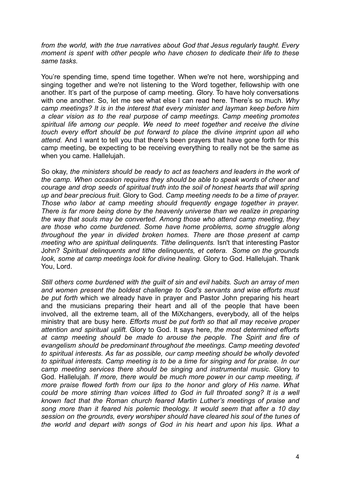*from the world, with the true narratives about God that Jesus regularly taught. Every moment is spent with other people who have chosen to dedicate their life to these same tasks.*

You're spending time, spend time together. When we're not here, worshipping and singing together and we're not listening to the Word together, fellowship with one another. It's part of the purpose of camp meeting*. G*lory. To have holy conversations with one another. So, let me see what else I can read here. There's so much. *Why camp meetings? It is in the interest that every minister and layman keep before him a clear vision as to the real purpose of camp meetings. Camp meeting promotes spiritual life among our people. We need to meet together and receive the divine touch every effort should be put forward to place the divine imprint upon all who attend.* And I want to tell you that there's been prayers that have gone forth for this camp meeting, be expecting to be receiving everything to really not be the same as when you came*.* Hallelujah.

So okay, *the ministers should be ready to act as teachers and leaders in the work of the camp. When occasion requires they should be able to speak words of cheer and courage and drop seeds of spiritual truth into the soil of honest hearts that will spring up and bear precious fruit.* Glory to God*. Camp meeting needs to be a time of prayer. Those who labor at camp meeting should frequently engage together in prayer. There is far more being done by the heavenly universe than we realize in preparing the way that souls may be converted. Among those who attend camp meeting, they are those who come burdened. Some have home problems, some struggle along throughout the year in divided broken homes. There are those present at camp meeting who are spiritual delinquents. Tithe delinquents.* Isn't that interesting Pastor John? *Spiritual delinquents and tithe delinquents, et cetera. Some on the grounds look, some at camp meetings look for divine healing.* Glory to God. Hallelujah. Thank You, Lord.

*Still others come burdened with the guilt of sin and evil habits. Such an array of men and women present the boldest challenge to God's servants and wise efforts must be put forth* which we already have in prayer and Pastor John preparing his heart and the musicians preparing their heart and all of the people that have been involved, all the extreme team, all of the MiXchangers, everybody, all of the helps ministry that are busy here. *Efforts must be put forth so that all may receive proper attention and spiritual uplift.* Glory to God. It says here, *the most determined efforts at camp meeting should be made to arouse the people. The Spirit and fire of evangelism should be predominant throughout the meetings. Camp meeting devoted to spiritual interests. As far as possible, our camp meeting should be wholly devoted to spiritual interests. Camp meeting is to be a time for singing and for praise. In our camp meeting services there should be singing and instrumental music.* Glory to God. Hallelujah*. If more, there would be much more power in our camp meeting, if more praise flowed forth from our lips to the honor and glory of His name. What could be more stirring than voices lifted to God in full throated song? It is a well known fact that the Roman church feared Martin Luther's meetings of praise and song more than it feared his polemic theology. It would seem that after a 10 day session on the grounds, every worshiper should have cleared his soul of the tunes of the world and depart with songs of God in his heart and upon his lips. What a*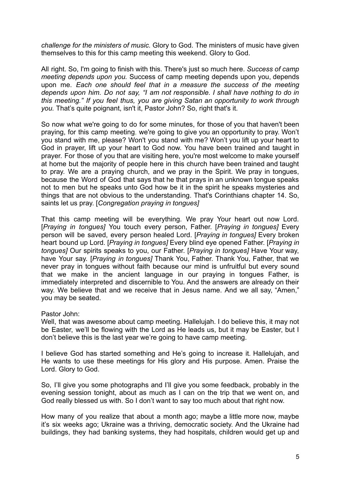*challenge for the ministers of music.* Glory to God. The ministers of music have given themselves to this for this camp meeting this weekend. Glory to God.

All right. So, I'm going to finish with this. There's just so much here. *Success of camp meeting depends upon you.* Success of camp meeting depends upon you, depends upon me. *Each one should feel that in a measure the success of the meeting depends upon him. Do not say, "I am not responsible. I shall have nothing to do in this meeting." If you feel thus, you are giving Satan an opportunity to work through you.* That's quite poignant, isn't it, Pastor John? So, right that's it.

So now what we're going to do for some minutes, for those of you that haven't been praying, for this camp meeting, we're going to give you an opportunity to pray. Won't you stand with me, please? Won't you stand with me? Won't you lift up your heart to God in prayer, lift up your heart to God now. You have been trained and taught in prayer. For those of you that are visiting here, you're most welcome to make yourself at home but the majority of people here in this church have been trained and taught to pray. We are a praying church, and we pray in the Spirit. We pray in tongues, because the Word of God that says that he that prays in an unknown tongue speaks not to men but he speaks unto God how be it in the spirit he speaks mysteries and things that are not obvious to the understanding. That's Corinthians chapter 14. So, saints let us pray. [*Congregation praying in tongues]*

That this camp meeting will be everything. We pray Your heart out now Lord. [*Praying in tongues]* You touch every person, Father. [*Praying in tongues]* Every person will be saved, every person healed Lord. [*Praying in tongues]* Every broken heart bound up Lord. [*Praying in tongues]* Every blind eye opened Father. [*Praying in tongues]* Our spirits speaks to you, our Father. [*Praying in tongues]* Have Your way, have Your say. [*Praying in tongues]* Thank You, Father. Thank You, Father, that we never pray in tongues without faith because our mind is unfruitful but every sound that we make in the ancient language in our praying in tongues Father, is immediately interpreted and discernible to You. And the answers are already on their way. We believe that and we receive that in Jesus name. And we all say, "Amen," you may be seated.

## Pastor John:

Well, that was awesome about camp meeting. Hallelujah. I do believe this, it may not be Easter, we'll be flowing with the Lord as He leads us, but it may be Easter, but I don't believe this is the last year we're going to have camp meeting.

I believe God has started something and He's going to increase it. Hallelujah, and He wants to use these meetings for His glory and His purpose. Amen. Praise the Lord. Glory to God.

So, I'll give you some photographs and I'll give you some feedback, probably in the evening session tonight, about as much as I can on the trip that we went on, and God really blessed us with. So I don't want to say too much about that right now.

How many of you realize that about a month ago; maybe a little more now, maybe it's six weeks ago; Ukraine was a thriving, democratic society. And the Ukraine had buildings, they had banking systems, they had hospitals, children would get up and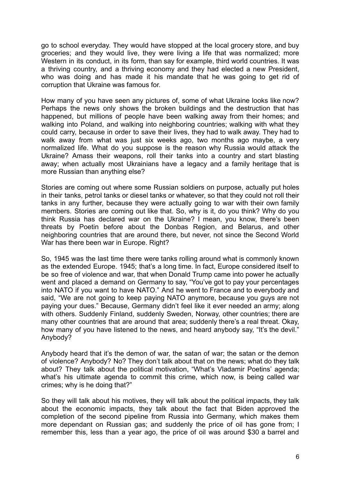go to school everyday. They would have stopped at the local grocery store, and buy groceries; and they would live, they were living a life that was normalized; more Western in its conduct, in its form, than say for example, third world countries. It was a thriving country, and a thriving economy and they had elected a new President, who was doing and has made it his mandate that he was going to get rid of corruption that Ukraine was famous for.

How many of you have seen any pictures of, some of what Ukraine looks like now? Perhaps the news only shows the broken buildings and the destruction that has happened, but millions of people have been walking away from their homes; and walking into Poland, and walking into neighboring countries; walking with what they could carry, because in order to save their lives, they had to walk away. They had to walk away from what was just six weeks ago, two months ago maybe, a very normalized life. What do you suppose is the reason why Russia would attack the Ukraine? Amass their weapons, roll their tanks into a country and start blasting away; when actually most Ukrainians have a legacy and a family heritage that is more Russian than anything else?

Stories are coming out where some Russian soldiers on purpose, actually put holes in their tanks, petrol tanks or diesel tanks or whatever, so that they could not roll their tanks in any further, because they were actually going to war with their own family members. Stories are coming out like that. So, why is it, do you think? Why do you think Russia has declared war on the Ukraine? I mean, you know, there's been threats by Poetin before about the Donbas Region, and Belarus, and other neighboring countries that are around there, but never, not since the Second World War has there been war in Europe. Right?

So, 1945 was the last time there were tanks rolling around what is commonly known as the extended Europe. 1945; that's a long time. In fact, Europe considered itself to be so free of violence and war, that when Donald Trump came into power he actually went and placed a demand on Germany to say, "You've got to pay your percentages into NATO if you want to have NATO." And he went to France and to everybody and said, "We are not going to keep paying NATO anymore, because you guys are not paying your dues." Because, Germany didn't feel like it ever needed an army; along with others. Suddenly Finland, suddenly Sweden, Norway, other countries; there are many other countries that are around that area; suddenly there's a real threat. Okay, how many of you have listened to the news, and heard anybody say, "It's the devil." Anybody?

Anybody heard that it's the demon of war, the satan of war; the satan or the demon of violence? Anybody? No? They don't talk about that on the news; what do they talk about? They talk about the political motivation, "What's Vladamir Poetins' agenda; what's his ultimate agenda to commit this crime, which now, is being called war crimes; why is he doing that?"

So they will talk about his motives, they will talk about the political impacts, they talk about the economic impacts, they talk about the fact that Biden approved the completion of the second pipeline from Russia into Germany, which makes them more dependant on Russian gas; and suddenly the price of oil has gone from; I remember this, less than a year ago, the price of oil was around \$30 a barrel and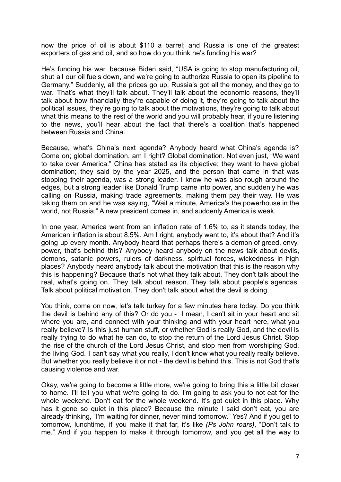now the price of oil is about \$110 a barrel; and Russia is one of the greatest exporters of gas and oil, and so how do you think he's funding his war?

He's funding his war, because Biden said, "USA is going to stop manufacturing oil, shut all our oil fuels down, and we're going to authorize Russia to open its pipeline to Germany." Suddenly, all the prices go up, Russia's got all the money, and they go to war. That's what they'll talk about. They'll talk about the economic reasons, they'll talk about how financially they're capable of doing it, they're going to talk about the political issues, they're going to talk about the motivations, they're going to talk about what this means to the rest of the world and you will probably hear, if you're listening to the news, you'll hear about the fact that there's a coalition that's happened between Russia and China.

Because, what's China's next agenda? Anybody heard what China's agenda is? Come on; global domination, am I right? Global domination. Not even just, "We want to take over America." China has stated as its objective; they want to have global domination; they said by the year 2025, and the person that came in that was stopping their agenda, was a strong leader. I know he was also rough around the edges, but a strong leader like Donald Trump came into power, and suddenly he was calling on Russia, making trade agreements, making them pay their way. He was taking them on and he was saying, "Wait a minute, America's the powerhouse in the world, not Russia." A new president comes in, and suddenly America is weak.

In one year, America went from an inflation rate of 1.6% to, as it stands today, the American inflation is about 8.5%. Am I right, anybody want to, it's about that? And it's going up every month. Anybody heard that perhaps there's a demon of greed, envy, power, that's behind this? Anybody heard anybody on the news talk about devils, demons, satanic powers, rulers of darkness, spiritual forces, wickedness in high places? Anybody heard anybody talk about the motivation that this is the reason why this is happening? Because that's not what they talk about. They don't talk about the real, what's going on. They talk about reason. They talk about people's agendas. Talk about political motivation. They don't talk about what the devil is doing.

You think, come on now, let's talk turkey for a few minutes here today. Do you think the devil is behind any of this? Or do you - I mean, I can't sit in your heart and sit where you are, and connect with your thinking and with your heart here, what you really believe? Is this just human stuff, or whether God is really God, and the devil is really trying to do what he can do, to stop the return of the Lord Jesus Christ. Stop the rise of the church of the Lord Jesus Christ, and stop men from worshiping God, the living God. I can't say what you really, I don't know what you really really believe. But whether you really believe it or not - the devil is behind this. This is not God that's causing violence and war.

Okay, we're going to become a little more, we're going to bring this a little bit closer to home. I'll tell you what we're going to do. I'm going to ask you to not eat for the whole weekend. Don't eat for the whole weekend. It's got quiet in this place. Why has it gone so quiet in this place? Because the minute I said don't eat, you are already thinking, "I'm waiting for dinner, never mind tomorrow." Yes? And if you get to tomorrow, lunchtime, if you make it that far, it's like *(Ps John roars)*, "Don't talk to me." And if you happen to make it through tomorrow, and you get all the way to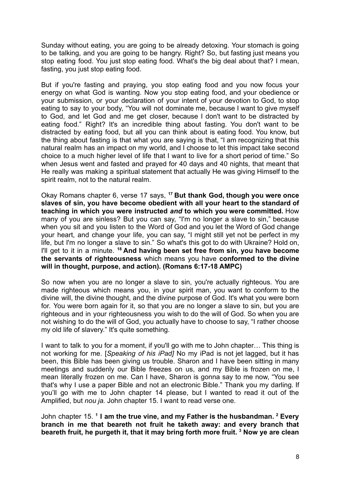Sunday without eating, you are going to be already detoxing. Your stomach is going to be talking, and you are going to be hangry. Right? So, but fasting just means you stop eating food. You just stop eating food. What's the big deal about that? I mean, fasting, you just stop eating food.

But if you're fasting and praying, you stop eating food and you now focus your energy on what God is wanting. Now you stop eating food, and your obedience or your submission, or your declaration of your intent of your devotion to God, to stop eating to say to your body, "You will not dominate me, because I want to give myself to God, and let God and me get closer, because I don't want to be distracted by eating food." Right? It's an incredible thing about fasting. You don't want to be distracted by eating food, but all you can think about is eating food. You know, but the thing about fasting is that what you are saying is that, "I am recognizing that this natural realm has an impact on my world, and I choose to let this impact take second choice to a much higher level of life that I want to live for a short period of time." So when Jesus went and fasted and prayed for 40 days and 40 nights, that meant that He really was making a spiritual statement that actually He was giving Himself to the spirit realm, not to the natural realm.

Okay Romans chapter 6, verse 17 says, **<sup>17</sup> But thank God, though you were once slaves of sin, you have become obedient with all your heart to the standard of teaching in which you were instructed** *and* **to which you were committed.** How many of you are sinless? But you can say, "I'm no longer a slave to sin," because when you sit and you listen to the Word of God and you let the Word of God change your heart, and change your life, you can say, "I might still yet not be perfect in my life, but I'm no longer a slave to sin." So what's this got to do with Ukraine? Hold on, I'll get to it in a minute. **<sup>18</sup> And having been set free from sin, you have become the servants of righteousness** which means you have **conformed to the divine will in thought, purpose, and action). (Romans 6:17-18 AMPC)**

So now when you are no longer a slave to sin, you're actually righteous. You are made righteous which means you, in your spirit man, you want to conform to the divine will, the divine thought, and the divine purpose of God. It's what you were born for. You were born again for it, so that you are no longer a slave to sin, but you are righteous and in your righteousness you wish to do the will of God. So when you are not wishing to do the will of God, you actually have to choose to say, "I rather choose my old life of slavery." It's quite something.

I want to talk to you for a moment, if you'll go with me to John chapter… This thing is not working for me. [*Speaking of his iPad]* No my iPad is not jet lagged, but it has been, this Bible has been giving us trouble. Sharon and I have been sitting in many meetings and suddenly our Bible freezes on us, and my Bible is frozen on me, I mean literally frozen on me. Can I have, Sharon is gonna say to me now, "You see that's why I use a paper Bible and not an electronic Bible." Thank you my darling. If you'll go with me to John chapter 14 please, but I wanted to read it out of the Amplified, but *nou ja.* John chapter 15. I want to read verse one.

John chapter 15. **<sup>1</sup> I am the true vine, and my Father is the husbandman. <sup>2</sup> Every branch in me that beareth not fruit he taketh away: and every branch that beareth fruit, he purgeth it, that it may bring forth more fruit. <sup>3</sup> Now ye are clean**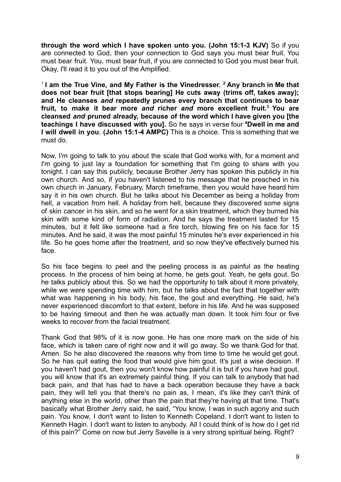**through the word which I have spoken unto you. (John 15:1-3 KJV)** So if you are connected to God, then your connection to God says you must bear fruit. You must bear fruit. You, must bear fruit, if you are connected to God you must bear fruit. Okay, I'll read it to you out of the Amplified.

1 **I am the True Vine, and My Father is the Vinedresser. <sup>2</sup> Any branch in Me that does not bear fruit [that stops bearing] He cuts away (trims off, takes away); and He cleanses** *and* **repeatedly prunes every branch that continues to bear fruit, to make it bear more** *and* **richer** *and* **more excellent fruit.<sup>3</sup> You are cleansed** *and* **pruned already, because of the word which I have given you [the teachings I have discussed with you].** So he says in verse four **<sup>4</sup>Dwell in me and I will dwell in you**. **(John 15:1-4 AMPC)** This is a choice. This is something that we must do.

Now, I'm going to talk to you about the scale that God works with, for a moment and I'm going to just lay a foundation for something that I'm going to share with you tonight. I can say this publicly, because Brother Jerry has spoken this publicly in his own church. And so, if you haven't listened to his message that he preached in his own church in January, February, March timeframe, then you would have heard him say it in his own church. But he talks about his December as being a holiday from hell, a vacation from hell. A holiday from hell, because they discovered some signs of skin cancer in his skin, and so he went for a skin treatment, which they burned his skin with some kind of form of radiation. And he says the treatment lasted for 15 minutes, but it felt like someone had a fire torch, blowing fire on his face for 15 minutes. And he said, it was the most painful 15 minutes he's ever experienced in his life. So he goes home after the treatment, and so now they've effectively burned his face.

So his face begins to peel and the peeling process is as painful as the heating process. In the process of him being at home, he gets gout. Yeah, he gets gout. So he talks publicly about this. So we had the opportunity to talk about it more privately, while we were spending time with him, but he talks about the fact that together with what was happening in his body, his face, the gout and everything. He said, he's never experienced discomfort to that extent, before in his life. And he was supposed to be having timeout and then he was actually man down. It took him four or five weeks to recover from the facial treatment.

Thank God that 98% of it is now gone. He has one more mark on the side of his face, which is taken care of right now and it will go away. So we thank God for that. Amen. So he also discovered the reasons why from time to time he would get gout. So he has quit eating the food that would give him gout. It's just a wise decision. If you haven't had gout, then you won't know how painful it is but if you have had gout, you will know that it's an extremely painful thing. If you can talk to anybody that had back pain, and that has had to have a back operation because they have a back pain, they will tell you that there's no pain as, I mean, it's like they can't think of anything else in the world, other than the pain that they're having at that time. That's basically what Brother Jerry said, he said, "You know, I was in such agony and such pain. You know, I don't want to listen to Kenneth Copeland. I don't want to listen to Kenneth Hagin. I don't want to listen to anybody. All I could think of is how do I get rid of this pain?" Come on now but Jerry Savelle is a very strong spiritual being. Right?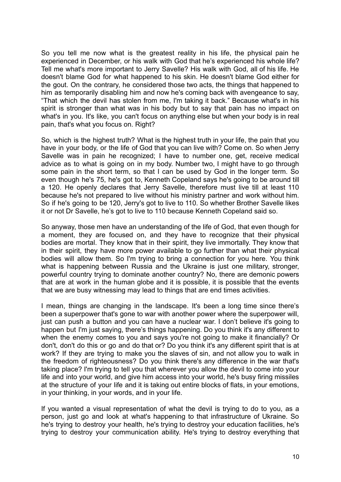So you tell me now what is the greatest reality in his life, the physical pain he experienced in December, or his walk with God that he's experienced his whole life? Tell me what's more important to Jerry Savelle? His walk with God, all of his life. He doesn't blame God for what happened to his skin. He doesn't blame God either for the gout. On the contrary, he considered those two acts, the things that happened to him as temporarily disabling him and now he's coming back with avengeance to say, "That which the devil has stolen from me, I'm taking it back." Because what's in his spirit is stronger than what was in his body but to say that pain has no impact on what's in you. It's like, you can't focus on anything else but when your body is in real pain, that's what you focus on. Right?

So, which is the highest truth? What is the highest truth in your life, the pain that you have in your body, or the life of God that you can live with? Come on. So when Jerry Savelle was in pain he recognized; I have to number one, get, receive medical advice as to what is going on in my body. Number two, I might have to go through some pain in the short term, so that I can be used by God in the longer term. So even though he's 75, he's got to, Kenneth Copeland says he's going to be around till a 120. He openly declares that Jerry Savelle, therefore must live till at least 110 because he's not prepared to live without his ministry partner and work without him. So if he's going to be 120, Jerry's got to live to 110. So whether Brother Savelle likes it or not Dr Savelle, he's got to live to 110 because Kenneth Copeland said so.

So anyway, those men have an understanding of the life of God, that even though for a moment, they are focused on, and they have to recognize that their physical bodies are mortal. They know that in their spirit, they live immortally. They know that in their spirit, they have more power available to go further than what their physical bodies will allow them. So I'm trying to bring a connection for you here. You think what is happening between Russia and the Ukraine is just one military, stronger, powerful country trying to dominate another country? No, there are demonic powers that are at work in the human globe and it is possible, it is possible that the events that we are busy witnessing may lead to things that are end times activities.

I mean, things are changing in the landscape. It's been a long time since there's been a superpower that's gone to war with another power where the superpower will, just can push a button and you can have a nuclear war. I don't believe it's going to happen but I'm just saying, there's things happening. Do you think it's any different to when the enemy comes to you and says you're not going to make it financially? Or don't, don't do this or go and do that or? Do you think it's any different spirit that is at work? If they are trying to make you the slaves of sin, and not allow you to walk in the freedom of righteousness? Do you think there's any difference in the war that's taking place? I'm trying to tell you that wherever you allow the devil to come into your life and into your world, and give him access into your world, he's busy firing missiles at the structure of your life and it is taking out entire blocks of flats, in your emotions, in your thinking, in your words, and in your life.

If you wanted a visual representation of what the devil is trying to do to you, as a person, just go and look at what's happening to that infrastructure of Ukraine. So he's trying to destroy your health, he's trying to destroy your education facilities, he's trying to destroy your communication ability. He's trying to destroy everything that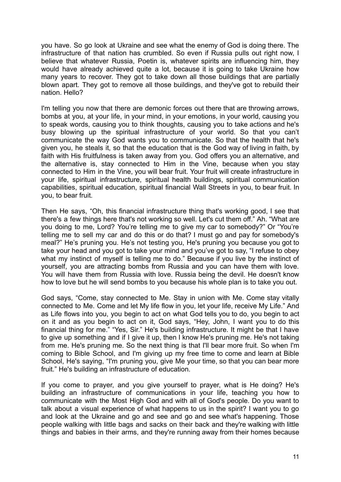you have. So go look at Ukraine and see what the enemy of God is doing there. The infrastructure of that nation has crumbled. So even if Russia pulls out right now, I believe that whatever Russia, Poetin is, whatever spirits are influencing him, they would have already achieved quite a lot, because it is going to take Ukraine how many years to recover. They got to take down all those buildings that are partially blown apart. They got to remove all those buildings, and they've got to rebuild their nation. Hello?

I'm telling you now that there are demonic forces out there that are throwing arrows, bombs at you, at your life, in your mind, in your emotions, in your world, causing you to speak words, causing you to think thoughts, causing you to take actions and he's busy blowing up the spiritual infrastructure of your world. So that you can't communicate the way God wants you to communicate. So that the health that he's given you, he steals it, so that the education that is the God way of living in faith, by faith with His fruitfulness is taken away from you. God offers you an alternative, and the alternative is, stay connected to Him in the Vine, because when you stay connected to Him in the Vine, you will bear fruit. Your fruit will create infrastructure in your life, spiritual infrastructure, spiritual health buildings, spiritual communication capabilities, spiritual education, spiritual financial Wall Streets in you, to bear fruit. In you, to bear fruit.

Then He says, "Oh, this financial infrastructure thing that's working good, I see that there's a few things here that's not working so well. Let's cut them off." Ah. "What are you doing to me, Lord? You're telling me to give my car to somebody?" Or "You're telling me to sell my car and do this or do that? I must go and pay for somebody's meal?" He's pruning you. He's not testing you, He's pruning you because you got to take your head and you got to take your mind and you've got to say, "I refuse to obey what my instinct of myself is telling me to do." Because if you live by the instinct of yourself, you are attracting bombs from Russia and you can have them with love. You will have them from Russia with love. Russia being the devil. He doesn't know how to love but he will send bombs to you because his whole plan is to take you out.

God says, "Come, stay connected to Me. Stay in union with Me. Come stay vitally connected to Me. Come and let My life flow in you, let your life, receive My Life." And as Life flows into you, you begin to act on what God tells you to do, you begin to act on it and as you begin to act on it, God says, "Hey, John, I want you to do this financial thing for me." "Yes, Sir." He's building infrastructure. It might be that I have to give up something and if I give it up, then I know He's pruning me. He's not taking from me. He's pruning me. So the next thing is that I'll bear more fruit. So when I'm coming to Bible School, and I'm giving up my free time to come and learn at Bible School, He's saying, "I'm pruning you, give Me your time, so that you can bear more fruit." He's building an infrastructure of education.

If you come to prayer, and you give yourself to prayer, what is He doing? He's building an infrastructure of communications in your life, teaching you how to communicate with the Most High God and with all of God's people. Do you want to talk about a visual experience of what happens to us in the spirit? I want you to go and look at the Ukraine and go and see and go and see what's happening. Those people walking with little bags and sacks on their back and they're walking with little things and babies in their arms, and they're running away from their homes because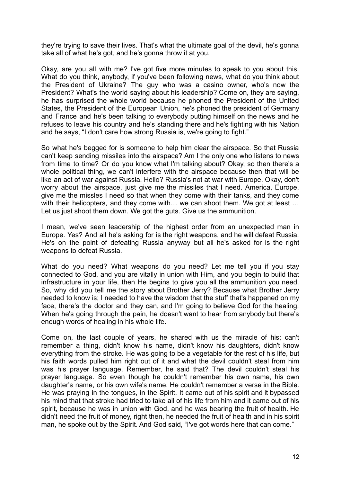they're trying to save their lives. That's what the ultimate goal of the devil, he's gonna take all of what he's got, and he's gonna throw it at you.

Okay, are you all with me? I've got five more minutes to speak to you about this. What do you think, anybody, if you've been following news, what do you think about the President of Ukraine? The guy who was a casino owner, who's now the President? What's the world saying about his leadership? Come on, they are saying, he has surprised the whole world because he phoned the President of the United States, the President of the European Union, he's phoned the president of Germany and France and he's been talking to everybody putting himself on the news and he refuses to leave his country and he's standing there and he's fighting with his Nation and he says, "I don't care how strong Russia is, we're going to fight."

So what he's begged for is someone to help him clear the airspace. So that Russia can't keep sending missiles into the airspace? Am I the only one who listens to news from time to time? Or do you know what I'm talking about? Okay, so then there's a whole political thing, we can't interfere with the airspace because then that will be like an act of war against Russia. Hello? Russia's not at war with Europe. Okay, don't worry about the airspace, just give me the missiles that I need. America, Europe, give me the missles I need so that when they come with their tanks, and they come with their helicopters, and they come with... we can shoot them. We got at least ... Let us just shoot them down. We got the guts. Give us the ammunition.

I mean, we've seen leadership of the highest order from an unexpected man in Europe. Yes? And all he's asking for is the right weapons, and he will defeat Russia. He's on the point of defeating Russia anyway but all he's asked for is the right weapons to defeat Russia.

What do you need? What weapons do you need? Let me tell you if you stay connected to God, and you are vitally in union with Him, and you begin to build that infrastructure in your life, then He begins to give you all the ammunition you need. So, why did you tell me the story about Brother Jerry? Because what Brother Jerry needed to know is; I needed to have the wisdom that the stuff that's happened on my face, there's the doctor and they can, and I'm going to believe God for the healing. When he's going through the pain, he doesn't want to hear from anybody but there's enough words of healing in his whole life.

Come on, the last couple of years, he shared with us the miracle of his; can't remember a thing, didn't know his name, didn't know his daughters, didn't know everything from the stroke. He was going to be a vegetable for the rest of his life, but his faith words pulled him right out of it and what the devil couldn't steal from him was his prayer language. Remember, he said that? The devil couldn't steal his prayer language. So even though he couldn't remember his own name, his own daughter's name, or his own wife's name. He couldn't remember a verse in the Bible. He was praying in the tongues, in the Spirit. It came out of his spirit and it bypassed his mind that that stroke had tried to take all of his life from him and it came out of his spirit, because he was in union with God, and he was bearing the fruit of health. He didn't need the fruit of money, right then, he needed the fruit of health and in his spirit man, he spoke out by the Spirit. And God said, "I've got words here that can come."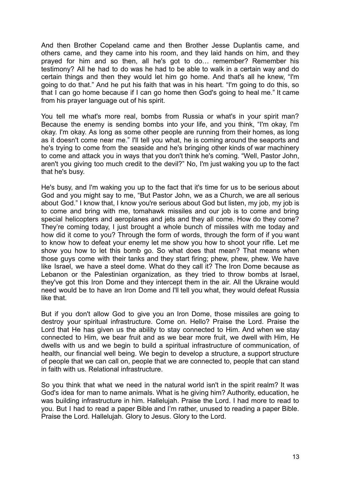And then Brother Copeland came and then Brother Jesse Duplantis came, and others came, and they came into his room, and they laid hands on him, and they prayed for him and so then, all he's got to do… remember? Remember his testimony? All he had to do was he had to be able to walk in a certain way and do certain things and then they would let him go home. And that's all he knew, "I'm going to do that." And he put his faith that was in his heart. "I'm going to do this, so that I can go home because if I can go home then God's going to heal me." It came from his prayer language out of his spirit.

You tell me what's more real, bombs from Russia or what's in your spirit man? Because the enemy is sending bombs into your life, and you think, "I'm okay, I'm okay. I'm okay. As long as some other people are running from their homes, as long as it doesn't come near me." I'll tell you what, he is coming around the seaports and he's trying to come from the seaside and he's bringing other kinds of war machinery to come and attack you in ways that you don't think he's coming. "Well, Pastor John, aren't you giving too much credit to the devil?" No, I'm just waking you up to the fact that he's busy.

He's busy, and I'm waking you up to the fact that it's time for us to be serious about God and you might say to me, "But Pastor John, we as a Church, we are all serious about God." I know that, I know you're serious about God but listen, my job, my job is to come and bring with me, tomahawk missiles and our job is to come and bring special helicopters and aeroplanes and jets and they all come. How do they come? They're coming today, I just brought a whole bunch of missiles with me today and how did it come to you? Through the form of words, through the form of if you want to know how to defeat your enemy let me show you how to shoot your rifle. Let me show you how to let this bomb go. So what does that mean? That means when those guys come with their tanks and they start firing; phew, phew, phew. We have like Israel, we have a steel dome. What do they call it? The Iron Dome because as Lebanon or the Palestinian organization, as they tried to throw bombs at Israel, they've got this Iron Dome and they intercept them in the air. All the Ukraine would need would be to have an Iron Dome and I'll tell you what, they would defeat Russia like that.

But if you don't allow God to give you an Iron Dome, those missiles are going to destroy your spiritual infrastructure. Come on. Hello? Praise the Lord. Praise the Lord that He has given us the ability to stay connected to Him. And when we stay connected to Him, we bear fruit and as we bear more fruit, we dwell with Him, He dwells with us and we begin to build a spiritual infrastructure of communication, of health, our financial well being. We begin to develop a structure, a support structure of people that we can call on, people that we are connected to, people that can stand in faith with us. Relational infrastructure.

So you think that what we need in the natural world isn't in the spirit realm? It was God's idea for man to name animals. What is he giving him? Authority, education, he was building infrastructure in him. Hallelujah. Praise the Lord. I had more to read to you. But I had to read a paper Bible and I'm rather, unused to reading a paper Bible. Praise the Lord. Hallelujah. Glory to Jesus. Glory to the Lord.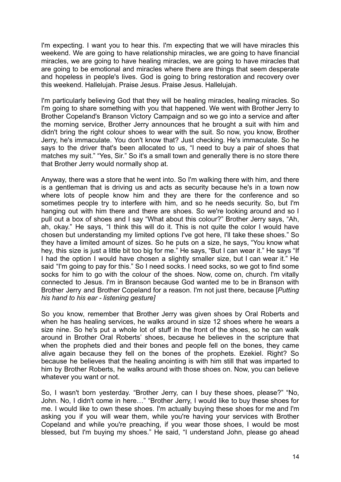I'm expecting. I want you to hear this. I'm expecting that we will have miracles this weekend. We are going to have relationship miracles, we are going to have financial miracles, we are going to have healing miracles, we are going to have miracles that are going to be emotional and miracles where there are things that seem desperate and hopeless in people's lives. God is going to bring restoration and recovery over this weekend. Hallelujah. Praise Jesus. Praise Jesus. Hallelujah.

I'm particularly believing God that they will be healing miracles, healing miracles. So I'm going to share something with you that happened. We went with Brother Jerry to Brother Copeland's Branson Victory Campaign and so we go into a service and after the morning service, Brother Jerry announces that he brought a suit with him and didn't bring the right colour shoes to wear with the suit. So now, you know, Brother Jerry, he's immaculate. You don't know that? Just checking. He's immaculate. So he says to the driver that's been allocated to us, "I need to buy a pair of shoes that matches my suit." "Yes, Sir." So it's a small town and generally there is no store there that Brother Jerry would normally shop at.

Anyway, there was a store that he went into. So I'm walking there with him, and there is a gentleman that is driving us and acts as security because he's in a town now where lots of people know him and they are there for the conference and so sometimes people try to interfere with him, and so he needs security. So, but I'm hanging out with him there and there are shoes. So we're looking around and so I pull out a box of shoes and I say "What about this colour?" Brother Jerry says, "Ah, ah, okay." He says, "I think this will do it. This is not quite the color I would have chosen but understanding my limited options I've got here, I'll take these shoes." So they have a limited amount of sizes. So he puts on a size, he says, "You know what hey, this size is just a little bit too big for me." He says, "But I can wear it." He says "If I had the option I would have chosen a slightly smaller size, but I can wear it." He said "I'm going to pay for this." So I need socks. I need socks, so we got to find some socks for him to go with the colour of the shoes. Now, come on, church. I'm vitally connected to Jesus. I'm in Branson because God wanted me to be in Branson with Brother Jerry and Brother Copeland for a reason. I'm not just there, because [*Putting his hand to his ear - listening gesture]*

So you know, remember that Brother Jerry was given shoes by Oral Roberts and when he has healing services, he walks around in size 12 shoes where he wears a size nine. So he's put a whole lot of stuff in the front of the shoes, so he can walk around in Brother Oral Roberts' shoes, because he believes in the scripture that when the prophets died and their bones and people fell on the bones, they came alive again because they fell on the bones of the prophets. Ezekiel. Right? So because he believes that the healing anointing is with him still that was imparted to him by Brother Roberts, he walks around with those shoes on. Now, you can believe whatever you want or not.

So, I wasn't born yesterday. "Brother Jerry, can I buy these shoes, please?" "No, John. No, I didn't come in here…" "Brother Jerry, I would like to buy these shoes for me. I would like to own these shoes. I'm actually buying these shoes for me and I'm asking you if you will wear them, while you're having your services with Brother Copeland and while you're preaching, if you wear those shoes, I would be most blessed, but I'm buying my shoes." He said, "I understand John, please go ahead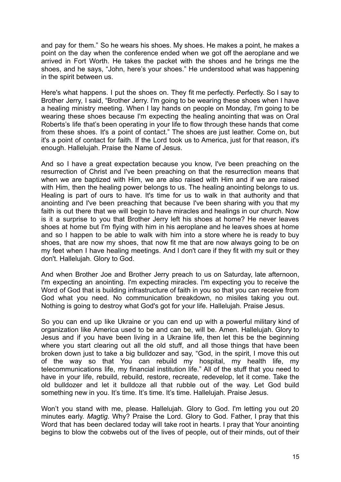and pay for them." So he wears his shoes. My shoes. He makes a point, he makes a point on the day when the conference ended when we got off the aeroplane and we arrived in Fort Worth. He takes the packet with the shoes and he brings me the shoes, and he says, "John, here's your shoes." He understood what was happening in the spirit between us.

Here's what happens. I put the shoes on. They fit me perfectly. Perfectly. So I say to Brother Jerry, I said, "Brother Jerry. I'm going to be wearing these shoes when I have a healing ministry meeting. When I lay hands on people on Monday, I'm going to be wearing these shoes because I'm expecting the healing anointing that was on Oral Roberts's life that's been operating in your life to flow through these hands that come from these shoes. It's a point of contact." The shoes are just leather. Come on, but it's a point of contact for faith. If the Lord took us to America, just for that reason, it's enough. Hallelujah. Praise the Name of Jesus.

And so I have a great expectation because you know, I've been preaching on the resurrection of Christ and I've been preaching on that the resurrection means that when we are baptized with Him, we are also raised with Him and if we are raised with Him, then the healing power belongs to us. The healing anointing belongs to us. Healing is part of ours to have. It's time for us to walk in that authority and that anointing and I've been preaching that because I've been sharing with you that my faith is out there that we will begin to have miracles and healings in our church. Now is it a surprise to you that Brother Jerry left his shoes at home? He never leaves shoes at home but I'm flying with him in his aeroplane and he leaves shoes at home and so I happen to be able to walk with him into a store where he is ready to buy shoes, that are now my shoes, that now fit me that are now always going to be on my feet when I have healing meetings. And I don't care if they fit with my suit or they don't. Hallelujah. Glory to God.

And when Brother Joe and Brother Jerry preach to us on Saturday, late afternoon, I'm expecting an anointing. I'm expecting miracles. I'm expecting you to receive the Word of God that is building infrastructure of faith in you so that you can receive from God what you need. No communication breakdown, no misiles taking you out. Nothing is going to destroy what God's got for your life. Hallelujah. Praise Jesus.

So you can end up like Ukraine or you can end up with a powerful military kind of organization like America used to be and can be, will be. Amen. Hallelujah. Glory to Jesus and if you have been living in a Ukraine life, then let this be the beginning where you start clearing out all the old stuff, and all those things that have been broken down just to take a big bulldozer and say, "God, in the spirit, I move this out of the way so that You can rebuild my hospital, my health life, my telecommunications life, my financial institution life." All of the stuff that you need to have in your life, rebuild, rebuild, restore, recreate, redevelop, let it come. Take the old bulldozer and let it bulldoze all that rubble out of the way. Let God build something new in you. It's time. It's time. It's time. Hallelujah. Praise Jesus.

Won't you stand with me, please. Hallelujah. Glory to God. I'm letting you out 20 minutes early. *Magtig*. Why? Praise the Lord. Glory to God. Father, I pray that this Word that has been declared today will take root in hearts. I pray that Your anointing begins to blow the cobwebs out of the lives of people, out of their minds, out of their